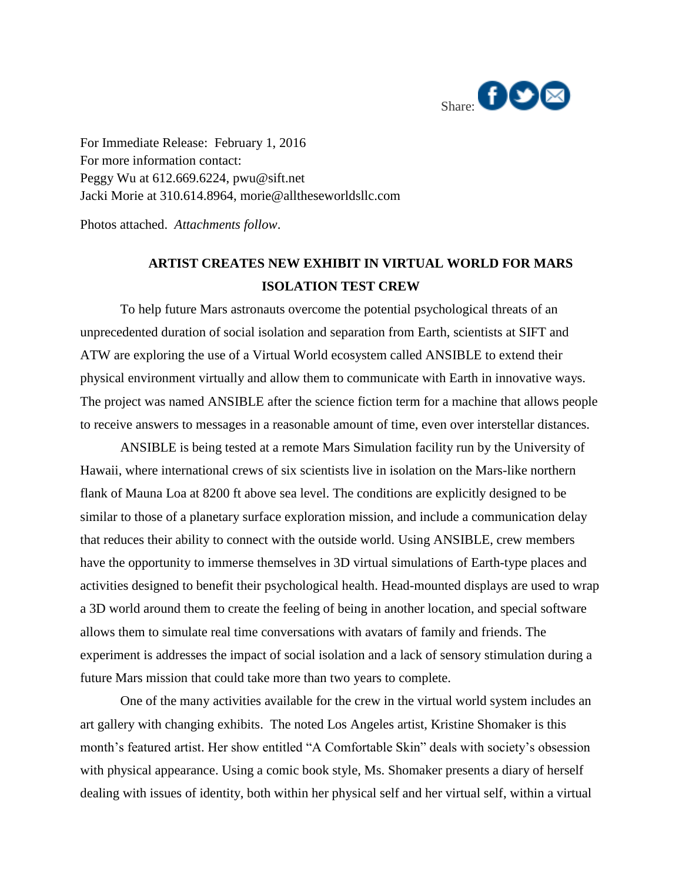

For Immediate Release: February 1, 2016 For more information contact: Peggy Wu at 612.669.6224, [pwu@sift.net](mailto:aelliott@ascrs.org)  Jacki Morie at 310.614.8964, morie@alltheseworldsllc.com

Photos attached. *Attachments follow*.

## **ARTIST CREATES NEW EXHIBIT IN VIRTUAL WORLD FOR MARS ISOLATION TEST CREW**

To help future Mars astronauts overcome the potential psychological threats of an unprecedented duration of social isolation and separation from Earth, scientists at SIFT and ATW are exploring the use of a Virtual World ecosystem called ANSIBLE to extend their physical environment virtually and allow them to communicate with Earth in innovative ways. The project was named ANSIBLE after the science fiction term for a machine that allows people to receive answers to messages in a reasonable amount of time, even over interstellar distances.

ANSIBLE is being tested at a remote Mars Simulation facility run by the University of Hawaii, where international crews of six scientists live in isolation on the Mars-like northern flank of Mauna Loa at 8200 ft above sea level. The conditions are explicitly designed to be similar to those of a planetary surface exploration mission, and include a communication delay that reduces their ability to connect with the outside world. Using ANSIBLE, crew members have the opportunity to immerse themselves in 3D virtual simulations of Earth-type places and activities designed to benefit their psychological health. Head-mounted displays are used to wrap a 3D world around them to create the feeling of being in another location, and special software allows them to simulate real time conversations with avatars of family and friends. The experiment is addresses the impact of social isolation and a lack of sensory stimulation during a future Mars mission that could take more than two years to complete.

One of the many activities available for the crew in the virtual world system includes an art gallery with changing exhibits. The noted Los Angeles artist, Kristine Shomaker is this month's featured artist. Her show entitled "A Comfortable Skin" deals with society's obsession with physical appearance. Using a comic book style, Ms. Shomaker presents a diary of herself dealing with issues of identity, both within her physical self and her virtual self, within a virtual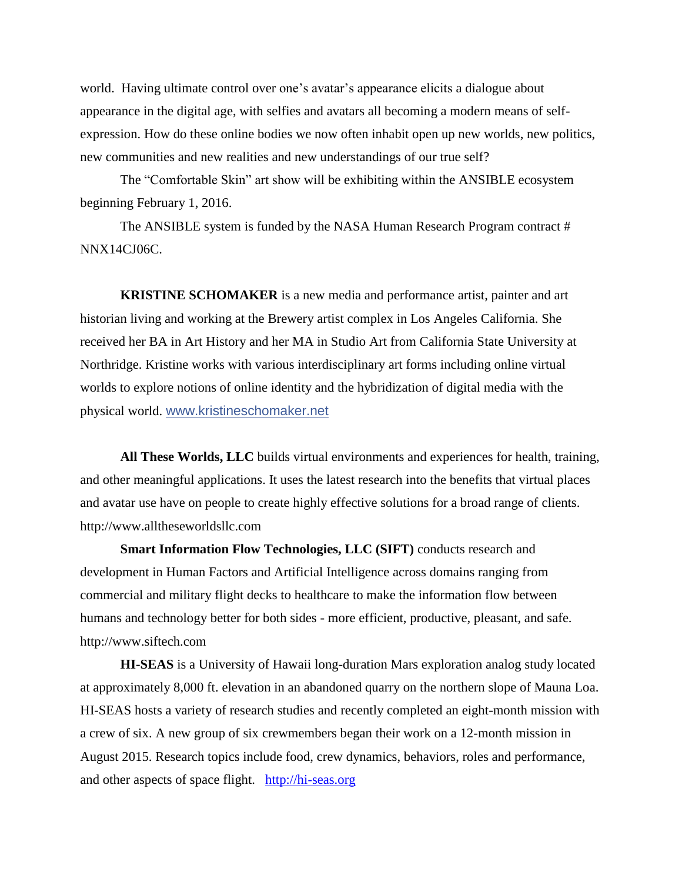world. Having ultimate control over one's avatar's appearance elicits a dialogue about appearance in the digital age, with selfies and avatars all becoming a modern means of selfexpression. How do these online bodies we now often inhabit open up new worlds, new politics, new communities and new realities and new understandings of our true self?

The "Comfortable Skin" art show will be exhibiting within the ANSIBLE ecosystem beginning February 1, 2016.

The ANSIBLE system is funded by the NASA Human Research Program contract # NNX14CJ06C.

**KRISTINE SCHOMAKER** is a new media and performance artist, painter and art historian living and working at the Brewery artist complex in Los Angeles California. She received her BA in Art History and her MA in Studio Art from California State University at Northridge. Kristine works with various interdisciplinary art forms including online virtual worlds to explore notions of online identity and the hybridization of digital media with the physical world. [www.kristineschomaker.net](http://www.kristineschomaker.net/)

**All These Worlds, LLC** builds virtual environments and experiences for health, training, and other meaningful applications. It uses the latest research into the benefits that virtual places and avatar use have on people to create highly effective solutions for a broad range of clients. http://www.alltheseworldsllc.com

**Smart Information Flow Technologies, LLC (SIFT)** conducts research and development in Human Factors and Artificial Intelligence across domains ranging from commercial and military flight decks to healthcare to make the information flow between humans and technology better for both sides - more efficient, productive, pleasant, and safe. http://www.siftech.com

**HI-SEAS** is a University of Hawaii long-duration Mars exploration analog study located at approximately 8,000 ft. elevation in an abandoned quarry on the northern slope of Mauna Loa. HI-SEAS hosts a variety of research studies and recently completed an eight-month mission with a crew of six. A new group of six crewmembers began their work on a 12-month mission in August 2015. Research topics include food, crew dynamics, behaviors, roles and performance, and other aspects of space flight. [http://hi-seas.org](http://hi-seas.org/)